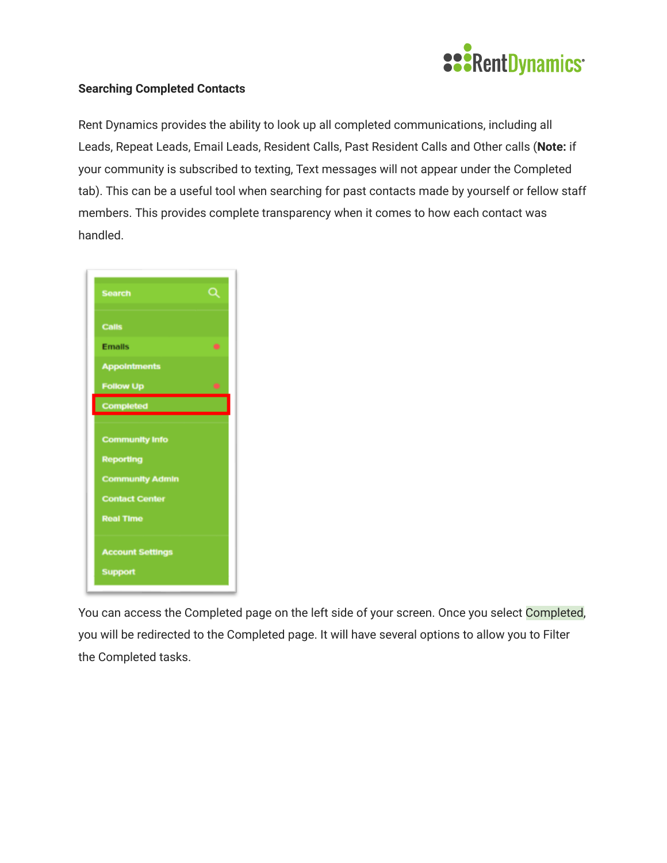

## **Searching Completed Contacts**

Rent Dynamics provides the ability to look up all completed communications, including all Leads, Repeat Leads, Email Leads, Resident Calls, Past Resident Calls and Other calls ( **Note:** if your community is subscribed to texting, Text messages will not appear under the Completed tab). This can be a useful tool when searching for past contacts made by yourself or fellow staff members. This provides complete transparency when it comes to how each contact was handled.

| Q |
|---|
|   |
|   |
|   |
|   |
|   |
|   |
|   |
|   |
|   |
|   |
|   |
|   |
|   |
|   |

You can access the Completed page on the left side of your screen. Once you select Completed, you will be redirected to the Completed page. It will have several options to allow you to Filter the Completed tasks.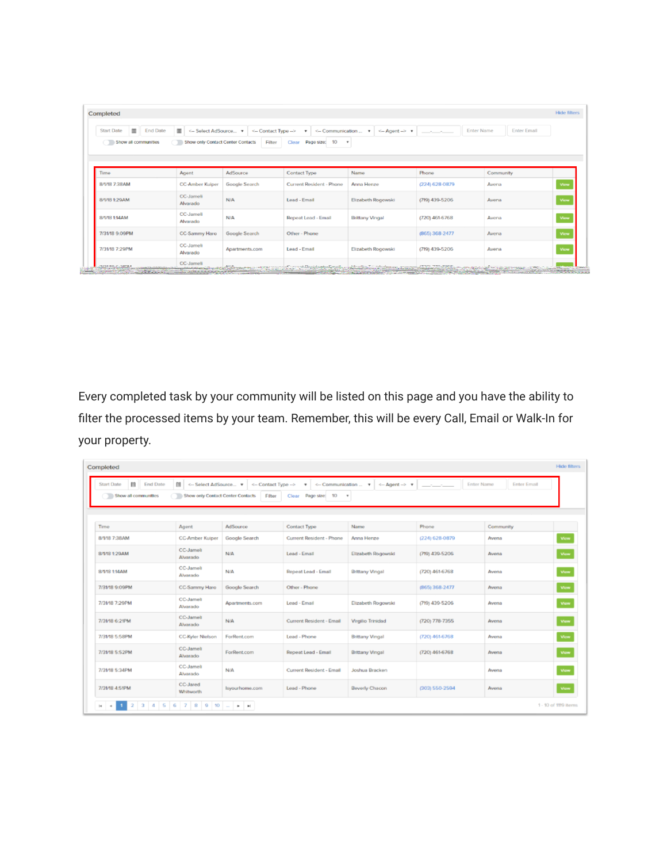| Completed              |                                                         |                                                        |                                                   |                                                |                         |                                       | <b>Hide filters</b> |
|------------------------|---------------------------------------------------------|--------------------------------------------------------|---------------------------------------------------|------------------------------------------------|-------------------------|---------------------------------------|---------------------|
| 面<br><b>Start Date</b> | $\mathbf m$<br><b>End Date</b><br><-- Select AdSource v | <-- Contact Type -->                                   | <-- Communication  ▼<br>$\boldsymbol{\mathrm{v}}$ | $\leftarrow$ Agent $\rightarrow$ $\rightarrow$ | <b>Enter Name</b><br>-- | <b>Enter Email</b>                    |                     |
| Show all communities   | Show only Contact Center Contacts                       | Filter                                                 | 10<br>Clear Page size:                            | $\scriptstyle\rm v$                            |                         |                                       |                     |
|                        |                                                         |                                                        |                                                   |                                                |                         |                                       |                     |
| Time                   | Agent                                                   | AdSource                                               | <b>Contact Type</b>                               | Name                                           | Phone                   | Community                             |                     |
| 8/1/18 7:38AM          | <b>CC-Amber Kuiper</b>                                  | <b>Google Search</b>                                   | Current Resident - Phone                          | Anna Henze                                     | (224) 628-0879          | Avena                                 | View                |
| 8/1/18 1:29AM          | CC-Jameli<br>Alvarado                                   | <b>N/A</b>                                             | Lead - Email                                      | Elizabeth Rogowski                             | (719) 439-5206          | Avena                                 | View                |
| 8/1/18 1:14AM          | CC-Jameli<br>Alvarado                                   | N/A                                                    | Repeat Lead - Email                               | <b>Brittany Vingal</b>                         | (720) 461-6768          | Avena                                 | View                |
| 7/31/18 9:09PM         | CC-Sammy Haro                                           | Google Search                                          | Other - Phone                                     |                                                | (865) 368-2477          | Avena                                 | View                |
| 7/31/18 7:29PM         | CC-Jameli<br>Alvarado                                   | Apartments.com                                         | Lead - Email                                      | Elizabeth Rogowski                             | (719) 439-5206          | Avena                                 | View                |
| SAMPLE, D. ON HOLE     | CC-Jameli                                               | <u> Permanent of Samples Province (Samples of Prov</u> | <b>Expertise Concert</b>                          | Advertise to the damage of the                 | JOHN TOO JOED,          | of the commission company is a commi- |                     |
|                        | <b>WITH A DIRECT PLATFORMER</b><br><b>The Second</b>    |                                                        |                                                   |                                                |                         | <b>STATISTICS</b>                     |                     |

Every completed task by your community will be listed on this page and you have the ability to filter the processed items by your team. Remember, this will be every Call, Email or Walk-In for your property.

| Completed                                                         |                                                                     |                                |                                                                      |                                                                   |                            |                    | <b>Hide filters</b>  |
|-------------------------------------------------------------------|---------------------------------------------------------------------|--------------------------------|----------------------------------------------------------------------|-------------------------------------------------------------------|----------------------------|--------------------|----------------------|
| 師<br><b>End Date</b><br><b>Start Date</b><br>Show all communities | <b>■</b> <-- Select AdSource ▼<br>Show only Contact Center Contacts | <-- Contact Type --><br>Filter | <-- Communication $\bullet$<br>$\mathbf v$<br>Page stze: 10<br>Clear | $\leftarrow$ Agent $\rightarrow$ $\bullet$<br>$\scriptstyle\rm v$ | <b>Enter Name</b><br>$  -$ | <b>Enter Email</b> |                      |
| Time                                                              | Agent                                                               | AdSource                       | <b>Contact Type</b>                                                  | Name                                                              | Phone                      | Community          |                      |
| 8/1/18 7:38AM                                                     | <b>CC-Amber Kuiper</b>                                              | Google Search                  | Current Resident - Phone                                             | Anna Henze                                                        | (224) 628-0879             | Avena              | View                 |
| 8/1/18 1:29AM                                                     | CC-Jamell<br>Alvarado                                               | N/A                            | Lead - Email                                                         | Elizabeth Rogowski                                                | (719) 439-5206             | Avena              | View                 |
| 8/1/18 1:14AM                                                     | CC-Jamell<br>Alvarado                                               | N/A                            | Repeat Lead - Email                                                  | <b>Brittany Vingal</b>                                            | (720) 461-6768             | Avena              | View                 |
| 7/31/18 9:09PM                                                    | <b>CC-Sammy Haro</b>                                                | Google Search                  | Other - Phone                                                        |                                                                   | (865) 368-2477             | Avena              | View                 |
| 7/31/18 7:29PM                                                    | CC-Jamell<br>Alvarado                                               | Apartments.com                 | Lead - Email                                                         | Elizabeth Rogowski                                                | (719) 439-5206             | Avena              | View                 |
| 7/31/18 6:21PM                                                    | CC-Jamell<br>Alvarado                                               | N/A                            | <b>Current Resident - Email</b>                                      | <b>Virgilio Trinidad</b>                                          | $(720)$ $778-7355$         | Avena              | View                 |
| 7/31/18 5:58PM                                                    | <b>CC-Kyler Nielson</b>                                             | ForRent.com                    | Lead - Phone                                                         | <b>Brittany Vingal</b>                                            | (720) 461-6768             | Avena              | View                 |
| 7/31/18 5:52PM                                                    | CC-Jamell<br>Alvarado                                               | ForRent.com                    | Repeat Lead - Email                                                  | <b>Brittany Vingal</b>                                            | (720) 461-6768             | Avena              | View                 |
| 7/31/18 5:34PM                                                    | <b>CC-Jamell</b><br>Alvarado                                        | N/A                            | Current Resident - Email                                             | Joshua Bracken                                                    |                            | Avena              | View                 |
| 7/31/18 4:51PM                                                    | CC-Jared<br>Whitworth                                               | Isyourhome.com                 | Lead - Phone                                                         | <b>Beverly Chacon</b>                                             | (303) 550-2594             | Avena              | View                 |
| $\overline{\mathbf{3}}$<br>$ 4 $ $ 4 $                            | $4$ 5 6 7 8 9 10 $$ $*$ $*$                                         |                                |                                                                      |                                                                   |                            |                    | 1 - 10 of 1119 items |